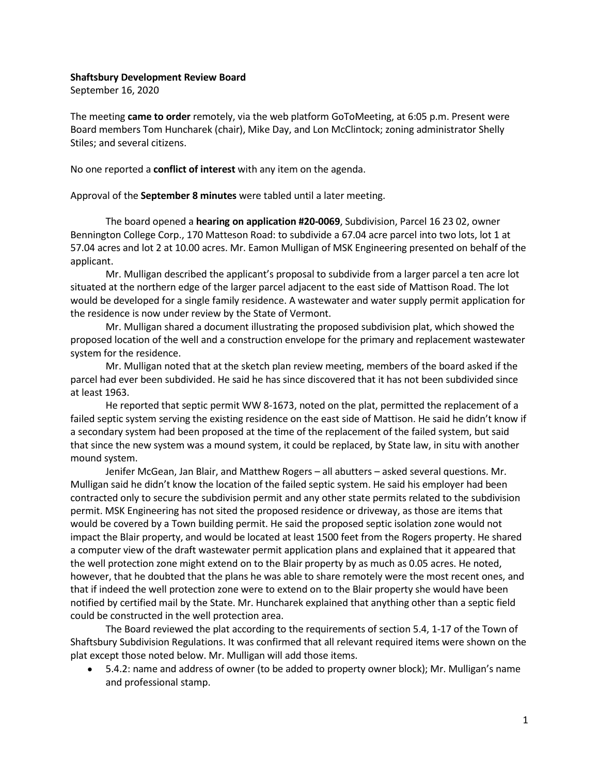## Shaftsbury Development Review Board

September 16, 2020

The meeting came to order remotely, via the web platform GoToMeeting, at 6:05 p.m. Present were Board members Tom Huncharek (chair), Mike Day, and Lon McClintock; zoning administrator Shelly Stiles; and several citizens.

No one reported a conflict of interest with any item on the agenda.

Approval of the September 8 minutes were tabled until a later meeting.

The board opened a **hearing on application #20-0069**, Subdivision, Parcel 16 23 02, owner Bennington College Corp., 170 Matteson Road: to subdivide a 67.04 acre parcel into two lots, lot 1 at 57.04 acres and lot 2 at 10.00 acres. Mr. Eamon Mulligan of MSK Engineering presented on behalf of the applicant.

Mr. Mulligan described the applicant's proposal to subdivide from a larger parcel a ten acre lot situated at the northern edge of the larger parcel adjacent to the east side of Mattison Road. The lot would be developed for a single family residence. A wastewater and water supply permit application for the residence is now under review by the State of Vermont.

Mr. Mulligan shared a document illustrating the proposed subdivision plat, which showed the proposed location of the well and a construction envelope for the primary and replacement wastewater system for the residence.

Mr. Mulligan noted that at the sketch plan review meeting, members of the board asked if the parcel had ever been subdivided. He said he has since discovered that it has not been subdivided since at least 1963.

He reported that septic permit WW 8-1673, noted on the plat, permitted the replacement of a failed septic system serving the existing residence on the east side of Mattison. He said he didn't know if a secondary system had been proposed at the time of the replacement of the failed system, but said that since the new system was a mound system, it could be replaced, by State law, in situ with another mound system.

Jenifer McGean, Jan Blair, and Matthew Rogers – all abutters – asked several questions. Mr. Mulligan said he didn't know the location of the failed septic system. He said his employer had been contracted only to secure the subdivision permit and any other state permits related to the subdivision permit. MSK Engineering has not sited the proposed residence or driveway, as those are items that would be covered by a Town building permit. He said the proposed septic isolation zone would not impact the Blair property, and would be located at least 1500 feet from the Rogers property. He shared a computer view of the draft wastewater permit application plans and explained that it appeared that the well protection zone might extend on to the Blair property by as much as 0.05 acres. He noted, however, that he doubted that the plans he was able to share remotely were the most recent ones, and that if indeed the well protection zone were to extend on to the Blair property she would have been notified by certified mail by the State. Mr. Huncharek explained that anything other than a septic field could be constructed in the well protection area.

The Board reviewed the plat according to the requirements of section 5.4, 1-17 of the Town of Shaftsbury Subdivision Regulations. It was confirmed that all relevant required items were shown on the plat except those noted below. Mr. Mulligan will add those items.

• 5.4.2: name and address of owner (to be added to property owner block); Mr. Mulligan's name and professional stamp.